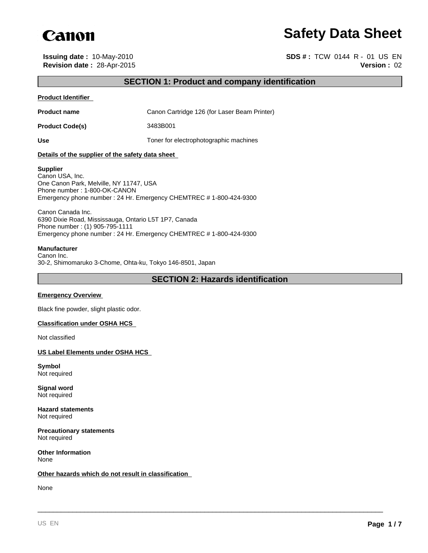

# **Safety Data Sheet**

**Issuing date :** 10-May-2010 **SDS # :** TCW 0144 R - 01 US EN **Revision date :** 28-Apr-2015 **Version :** 02

# **SECTION 1: Product and company identification**

#### **Product Identifier**

**Product name** Canon Cartridge 126 (for Laser Beam Printer)

**Product Code(s)** 3483B001

Use Use **Use** Toner for electrophotographic machines

#### **Details of the supplier of the safety data sheet**

#### **Supplier**

Canon USA, Inc. One Canon Park, Melville, NY 11747, USA Phone number : 1-800-OK-CANON Emergency phone number : 24 Hr. Emergency CHEMTREC # 1-800-424-9300

Canon Canada Inc. 6390 Dixie Road, Mississauga, Ontario L5T 1P7, Canada Phone number : (1) 905-795-1111 Emergency phone number : 24 Hr. Emergency CHEMTREC # 1-800-424-9300

#### **Manufacturer**

Canon Inc. 30-2, Shimomaruko 3-Chome, Ohta-ku, Tokyo 146-8501, Japan

# **SECTION 2: Hazards identification**

\_\_\_\_\_\_\_\_\_\_\_\_\_\_\_\_\_\_\_\_\_\_\_\_\_\_\_\_\_\_\_\_\_\_\_\_\_\_\_\_\_\_\_\_\_\_\_\_\_\_\_\_\_\_\_\_\_\_\_\_\_\_\_\_\_\_\_\_\_\_\_\_\_\_\_\_\_\_\_\_\_\_\_\_\_\_\_\_\_

#### **Emergency Overview**

Black fine powder, slight plastic odor.

#### **Classification under OSHA HCS**

Not classified

#### **US Label Elements under OSHA HCS**

**Symbol** Not required

**Signal word** Not required

**Hazard statements** Not required

**Precautionary statements** Not required

**Other Information** None

#### **Other hazards which do not result in classification**

None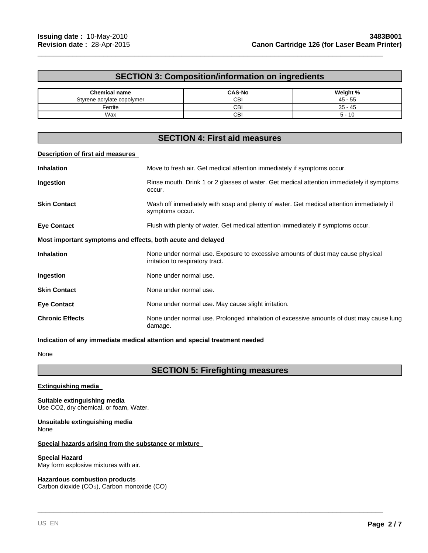# **SECTION 3: Composition/information on ingredients**

\_\_\_\_\_\_\_\_\_\_\_\_\_\_\_\_\_\_\_\_\_\_\_\_\_\_\_\_\_\_\_\_\_\_\_\_\_\_\_\_\_\_\_\_\_\_\_\_\_\_\_\_\_\_\_\_\_\_\_\_\_\_\_\_\_\_\_\_\_\_\_\_\_\_\_\_\_\_\_\_\_\_\_\_\_\_\_\_\_

| <b>Chemical name</b>       | <b>CAS-No</b> | Weight %        |
|----------------------------|---------------|-----------------|
| Styrene acrylate copolymer | CBI           | $45 - 55$       |
| Ferrite                    | СBІ           | $-45$<br>$35 -$ |
| Wax                        | СBI           | 10              |

# **SECTION 4: First aid measures**

#### **Description of first aid measures**

| <b>Inhalation</b>                                           | Move to fresh air. Get medical attention immediately if symptoms occur.                                             |  |  |
|-------------------------------------------------------------|---------------------------------------------------------------------------------------------------------------------|--|--|
| Ingestion                                                   | Rinse mouth. Drink 1 or 2 glasses of water. Get medical attention immediately if symptoms<br>occur.                 |  |  |
| <b>Skin Contact</b>                                         | Wash off immediately with soap and plenty of water. Get medical attention immediately if<br>symptoms occur.         |  |  |
| <b>Eye Contact</b>                                          | Flush with plenty of water. Get medical attention immediately if symptoms occur.                                    |  |  |
| Most important symptoms and effects, both acute and delayed |                                                                                                                     |  |  |
| <b>Inhalation</b>                                           | None under normal use. Exposure to excessive amounts of dust may cause physical<br>irritation to respiratory tract. |  |  |
| Ingestion                                                   | None under normal use.                                                                                              |  |  |
| <b>Skin Contact</b>                                         | None under normal use.                                                                                              |  |  |
| <b>Eye Contact</b>                                          | None under normal use. May cause slight irritation.                                                                 |  |  |
| <b>Chronic Effects</b>                                      | None under normal use. Prolonged inhalation of excessive amounts of dust may cause lung<br>damage.                  |  |  |

### **Indication of any immediate medical attention and special treatment needed**

None

# **SECTION 5: Firefighting measures**

\_\_\_\_\_\_\_\_\_\_\_\_\_\_\_\_\_\_\_\_\_\_\_\_\_\_\_\_\_\_\_\_\_\_\_\_\_\_\_\_\_\_\_\_\_\_\_\_\_\_\_\_\_\_\_\_\_\_\_\_\_\_\_\_\_\_\_\_\_\_\_\_\_\_\_\_\_\_\_\_\_\_\_\_\_\_\_\_\_

#### **Extinguishing media**

**Suitable extinguishing media** Use CO2, dry chemical, or foam, Water.

#### **Unsuitable extinguishing media** None

#### **Special hazards arising from the substance or mixture**

#### **Special Hazard**

May form explosive mixtures with air.

### **Hazardous combustion products**

Carbon dioxide (CO 2), Carbon monoxide (CO)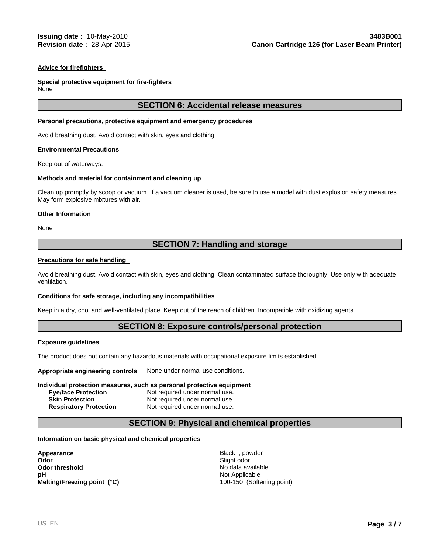#### **Advice for firefighters**

# **Special protective equipment for fire-fighters**

None

## **SECTION 6: Accidental release measures**

\_\_\_\_\_\_\_\_\_\_\_\_\_\_\_\_\_\_\_\_\_\_\_\_\_\_\_\_\_\_\_\_\_\_\_\_\_\_\_\_\_\_\_\_\_\_\_\_\_\_\_\_\_\_\_\_\_\_\_\_\_\_\_\_\_\_\_\_\_\_\_\_\_\_\_\_\_\_\_\_\_\_\_\_\_\_\_\_\_

#### **Personal precautions, protective equipment and emergency procedures**

Avoid breathing dust. Avoid contact with skin, eyes and clothing.

#### **Environmental Precautions**

Keep out of waterways.

#### **Methods and material for containment and cleaning up**

Clean up promptly by scoop or vacuum. If a vacuum cleaner is used, be sure to use a model with dust explosion safety measures. May form explosive mixtures with air.

#### **Other Information**

None

# **SECTION 7: Handling and storage**

#### **Precautions for safe handling**

Avoid breathing dust. Avoid contact with skin, eyes and clothing. Clean contaminated surface thoroughly. Use only with adequate ventilation.

#### **Conditions for safe storage, including any incompatibilities**

Keep in a dry, cool and well-ventilated place. Keep out of the reach of children. Incompatible with oxidizing agents.

# **SECTION 8: Exposure controls/personal protection**

#### **Exposure guidelines**

The product does not contain any hazardous materials with occupational exposure limits established.

**Appropriate engineering controls** None under normal use conditions.

#### **Individual protection measures, such as personal protective equipment Eye/face Protection** Not required under normal use. **Skin Protection Not required under normal use.**<br> **Respiratory Protection Not required under normal use.** Not required under normal use.

# **SECTION 9: Physical and chemical properties**

#### **Information on basic physical and chemical properties**

**Appearance** Black ; powder Odor<br>
Odor threshold<br>
Odor threshold<br>
PH<br>
Melting/Freezing point (°C)<br>
Melting/Freezing point (°C)<br>
Alting/Freezing point (°C)<br>
Alting/Freezing point (°C)<br>
Alting/Freezing point (°C)<br>
Alting/Freezing point (°C)<br>
Alting/Fre **Odor threshold No data available No data available pH**<br> **Melting/Freezing point (°C)**<br>
Melting/Freezing point (°C)<br>
Melting/Freezing point (°C) **Melting/Freezing point (°C)**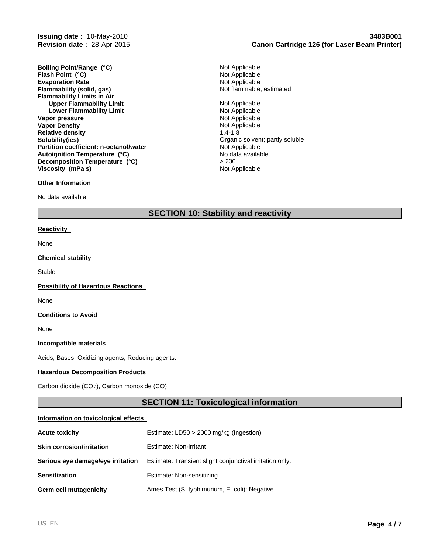**Evaporation Rate**<br> **Example:** Not Applicable<br> **Elammability (solid, gas)**<br> **Example:** Not flammable: estimated **Flammability (solid, gas) Flammability Limits in Air Upper Flammability Limit**<br> **Lower Flammability Limit**<br> **Lower Flammability Limit Lower Flammability Limit Vapor pressure**<br> **Vapor Density**<br> **Vapor Density**<br> **Vapor Density Vapor Density Relative density** 1.4-1.8 **Solubility(ies) Solubility(ies) Organic solvent**; partly soluble **Partition coefficient: n-octanol/water** Not Applicable Not Applicable Autoignition Temperature (°C) **Boiling Point/Range (°C)**<br> **Flash Point (°C)**<br> **Flash Point (°C)**<br> **Point (°C)**<br> **Point Applicable Flash Point (°C) Autoignition Temperature (°C) Decomposition Temperature (°C) Viscosity (mPa s)** 

#### **Other Information**

No data available

> 200<br>Not Applicable

\_\_\_\_\_\_\_\_\_\_\_\_\_\_\_\_\_\_\_\_\_\_\_\_\_\_\_\_\_\_\_\_\_\_\_\_\_\_\_\_\_\_\_\_\_\_\_\_\_\_\_\_\_\_\_\_\_\_\_\_\_\_\_\_\_\_\_\_\_\_\_\_\_\_\_\_\_\_\_\_\_\_\_\_\_\_\_\_\_

# **SECTION 10: Stability and reactivity**

#### **Reactivity**

None

#### **Chemical stability**

Stable

**Possibility of Hazardous Reactions** 

None

#### **Conditions to Avoid**

None

#### **Incompatible materials**

Acids, Bases, Oxidizing agents, Reducing agents.

#### **Hazardous Decomposition Products**

Carbon dioxide (CO 2), Carbon monoxide (CO)

# **SECTION 11: Toxicological information**

\_\_\_\_\_\_\_\_\_\_\_\_\_\_\_\_\_\_\_\_\_\_\_\_\_\_\_\_\_\_\_\_\_\_\_\_\_\_\_\_\_\_\_\_\_\_\_\_\_\_\_\_\_\_\_\_\_\_\_\_\_\_\_\_\_\_\_\_\_\_\_\_\_\_\_\_\_\_\_\_\_\_\_\_\_\_\_\_\_

#### **Information on toxicological effects**

| <b>Acute toxicity</b>             | Estimate: LD50 > 2000 mg/kg (Ingestion)                  |  |
|-----------------------------------|----------------------------------------------------------|--|
| <b>Skin corrosion/irritation</b>  | Estimate: Non-irritant                                   |  |
| Serious eye damage/eye irritation | Estimate: Transient slight conjunctival irritation only. |  |
| <b>Sensitization</b>              | Estimate: Non-sensitizing                                |  |
| Germ cell mutagenicity            | Ames Test (S. typhimurium, E. coli): Negative            |  |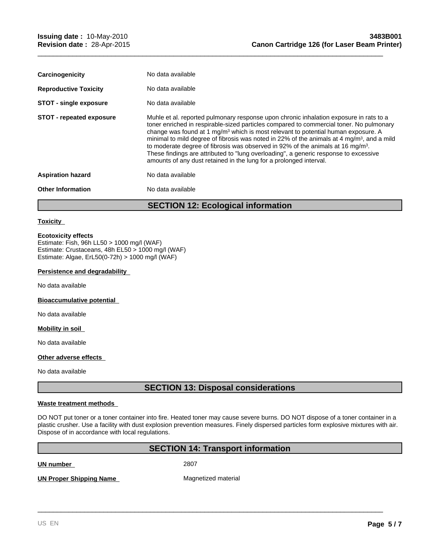| Carcinogenicity                 | No data available                                                                                                                                                                                                                                                                                                                                                                                                                                                                                                                                                                                                                                         |
|---------------------------------|-----------------------------------------------------------------------------------------------------------------------------------------------------------------------------------------------------------------------------------------------------------------------------------------------------------------------------------------------------------------------------------------------------------------------------------------------------------------------------------------------------------------------------------------------------------------------------------------------------------------------------------------------------------|
| <b>Reproductive Toxicity</b>    | No data available                                                                                                                                                                                                                                                                                                                                                                                                                                                                                                                                                                                                                                         |
| <b>STOT - single exposure</b>   | No data available                                                                                                                                                                                                                                                                                                                                                                                                                                                                                                                                                                                                                                         |
| <b>STOT - repeated exposure</b> | Muhle et al. reported pulmonary response upon chronic inhalation exposure in rats to a<br>toner enriched in respirable-sized particles compared to commercial toner. No pulmonary<br>change was found at 1 mg/m <sup>3</sup> which is most relevant to potential human exposure. A<br>minimal to mild degree of fibrosis was noted in 22% of the animals at 4 mg/m <sup>3</sup> , and a mild<br>to moderate degree of fibrosis was observed in 92% of the animals at 16 mg/m <sup>3</sup> .<br>These findings are attributed to "lung overloading", a generic response to excessive<br>amounts of any dust retained in the lung for a prolonged interval. |
| <b>Aspiration hazard</b>        | No data available                                                                                                                                                                                                                                                                                                                                                                                                                                                                                                                                                                                                                                         |
| <b>Other Information</b>        | No data available                                                                                                                                                                                                                                                                                                                                                                                                                                                                                                                                                                                                                                         |
|                                 |                                                                                                                                                                                                                                                                                                                                                                                                                                                                                                                                                                                                                                                           |

**SECTION 12: Ecological information**

\_\_\_\_\_\_\_\_\_\_\_\_\_\_\_\_\_\_\_\_\_\_\_\_\_\_\_\_\_\_\_\_\_\_\_\_\_\_\_\_\_\_\_\_\_\_\_\_\_\_\_\_\_\_\_\_\_\_\_\_\_\_\_\_\_\_\_\_\_\_\_\_\_\_\_\_\_\_\_\_\_\_\_\_\_\_\_\_\_

#### **Toxicity**

#### **Ecotoxicity effects**

Estimate: Fish, 96h LL50 > 1000 mg/l (WAF) Estimate: Crustaceans, 48h EL50 > 1000 mg/l (WAF) Estimate: Algae, ErL50(0-72h) > 1000 mg/l (WAF)

#### **Persistence and degradability**

No data available

**Bioaccumulative potential** 

No data available

#### **Mobility in soil**

No data available

#### **Other adverse effects**

No data available

# **SECTION 13: Disposal considerations**

#### **Waste treatment methods**

DO NOT put toner or a toner container into fire. Heated toner may cause severe burns. DO NOT dispose of a toner container in a plastic crusher. Use a facility with dust explosion prevention measures. Finely dispersed particles form explosive mixtures with air. Dispose of in accordance with local regulations.

# **SECTION 14: Transport information**

**UN number** 2807

\_\_\_\_\_\_\_\_\_\_\_\_\_\_\_\_\_\_\_\_\_\_\_\_\_\_\_\_\_\_\_\_\_\_\_\_\_\_\_\_\_\_\_\_\_\_\_\_\_\_\_\_\_\_\_\_\_\_\_\_\_\_\_\_\_\_\_\_\_\_\_\_\_\_\_\_\_\_\_\_\_\_\_\_\_\_\_\_\_ **UN Proper Shipping Name** Magnetized material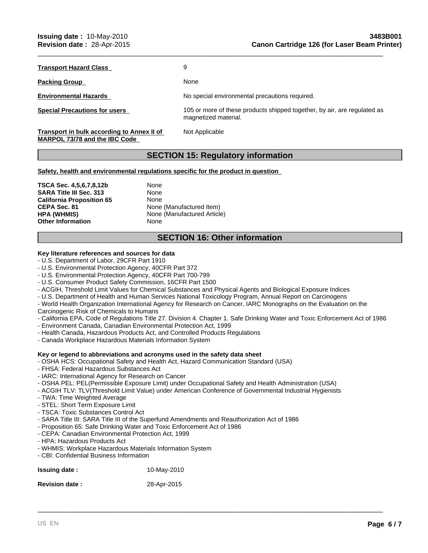**Transport Hazard Class** 9

Packing Group **None** None

**Transport in bulk according to Annex II of MARPOL 73/78 and the IBC Code** 

**Environmental Hazards** No special environmental precautions required.

\_\_\_\_\_\_\_\_\_\_\_\_\_\_\_\_\_\_\_\_\_\_\_\_\_\_\_\_\_\_\_\_\_\_\_\_\_\_\_\_\_\_\_\_\_\_\_\_\_\_\_\_\_\_\_\_\_\_\_\_\_\_\_\_\_\_\_\_\_\_\_\_\_\_\_\_\_\_\_\_\_\_\_\_\_\_\_\_\_

**Special Precautions for users** 105 or more of these products shipped together, by air, are regulated as magnetized material.

Not Applicable

# **SECTION 15: Regulatory information**

**Safety, health and environmental regulations specific for the product in question** 

**TSCA Sec. 4,5,6,7,8,12b** None<br> **SARA Title III Sec. 313** None **SARA Title III Sec. 313** None<br>**California Proposition 65** None **California Proposition 65**<br>**CEPA Sec. 81 Other Information** None

**None (Manufactured Item) HPA (WHMIS)** None (Manufactured Article)

# **SECTION 16: Other information**

# **Key literature references and sources for data**

- U.S. Department of Labor, 29CFR Part 1910
- U.S. Environmental Protection Agency, 40CFR Part 372
- U.S. Environmental Protection Agency, 40CFR Part 700-799
- U.S. Consumer Product Safety Commission, 16CFR Part 1500
- ACGIH, Threshold Limit Values for Chemical Substances and Physical Agents and Biological Exposure Indices
- U.S. Department of Health and Human Services National Toxicology Program, Annual Report on Carcinogens
- World Health Organization International Agency for Research on Cancer, IARC Monographs on the Evaluation on the
- Carcinogenic Risk of Chemicals to Humans
- California EPA, Code of Regulations Title 27. Division 4. Chapter 1. Safe Drinking Water and Toxic Enforcement Act of 1986

\_\_\_\_\_\_\_\_\_\_\_\_\_\_\_\_\_\_\_\_\_\_\_\_\_\_\_\_\_\_\_\_\_\_\_\_\_\_\_\_\_\_\_\_\_\_\_\_\_\_\_\_\_\_\_\_\_\_\_\_\_\_\_\_\_\_\_\_\_\_\_\_\_\_\_\_\_\_\_\_\_\_\_\_\_\_\_\_\_

- Environment Canada, Canadian Environmental Protection Act, 1999
- Health Canada, Hazardous Products Act, and Controlled Products Regulations
- Canada Workplace Hazardous Materials Information System

#### **Key or legend to abbreviations and acronyms used in the safety data sheet**

- OSHA HCS: Occupational Safety and Health Act, Hazard Communication Standard (USA)
- FHSA: Federal Hazardous Substances Act
- IARC: International Agency for Research on Cancer
- OSHA PEL: PEL(Permissible Exposure Limit) under Occupational Safety and Health Administration (USA)
- ACGIH TLV: TLV(Threshold Limit Value) under American Conference of Governmental Industrial Hygienists
- TWA: Time Weighted Average
- STEL: Short Term Exposure Limit
- TSCA: Toxic Substances Control Act
- SARA Title III: SARA Title III of the Superfund Amendments and Reauthorization Act of 1986
- Proposition 65: Safe Drinking Water and Toxic Enforcement Act of 1986
- CEPA: Canadian Environmental Protection Act, 1999
- HPA: Hazardous Products Act
- WHMIS: Workplace Hazardous Materials Information System
- CBI: Confidential Business Information

| <b>Issuing date:</b> | 10-May-2010 |  |
|----------------------|-------------|--|
|                      |             |  |

**Revision date :** 28-Apr-2015